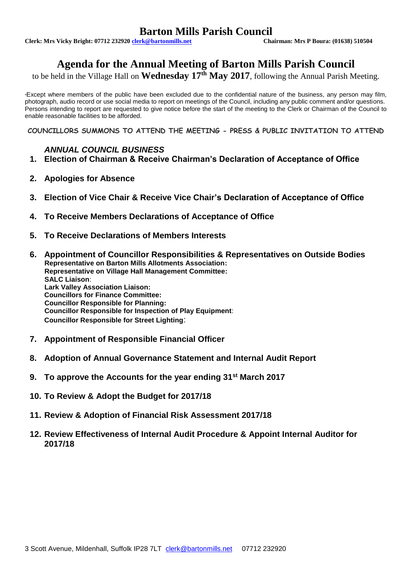# **Barton Mills Parish Council**<br>Chairman: Mrs P Boura: (01638) 510504

**Clerk: Mrs Vicky Bright: 07712 232920 clerk@bartonmills.net** 

# **Agenda for the Annual Meeting of Barton Mills Parish Council**

to be held in the Village Hall on **Wednesday 17th May 2017**, following the Annual Parish Meeting.

\*Except where members of the public have been excluded due to the confidential nature of the business, any person may film, photograph, audio record or use social media to report on meetings of the Council, including any public comment and/or questions. Persons intending to report are requested to give notice before the start of the meeting to the Clerk or Chairman of the Council to enable reasonable facilities to be afforded.

**COUNCILLORS SUMMONS TO ATTEND THE MEETING - PRESS & PUBLIC INVITATION TO ATTEND**

### *ANNUAL COUNCIL BUSINESS*

- **1. Election of Chairman & Receive Chairman's Declaration of Acceptance of Office**
- **2. Apologies for Absence**
- **3. Election of Vice Chair & Receive Vice Chair's Declaration of Acceptance of Office**
- **4. To Receive Members Declarations of Acceptance of Office**
- **5. To Receive Declarations of Members Interests**
- **6. Appointment of Councillor Responsibilities & Representatives on Outside Bodies Representative on Barton Mills Allotments Association: Representative on Village Hall Management Committee: SALC Liaison**: **Lark Valley Association Liaison: Councillors for Finance Committee: Councillor Responsible for Planning: Councillor Responsible for Inspection of Play Equipment**: **Councillor Responsible for Street Lighting**:
- **7. Appointment of Responsible Financial Officer**
- **8. Adoption of Annual Governance Statement and Internal Audit Report**
- **9. To approve the Accounts for the year ending 31st March 2017**
- **10. To Review & Adopt the Budget for 2017/18**
- **11. Review & Adoption of Financial Risk Assessment 2017/18**
- **12. Review Effectiveness of Internal Audit Procedure & Appoint Internal Auditor for 2017/18**